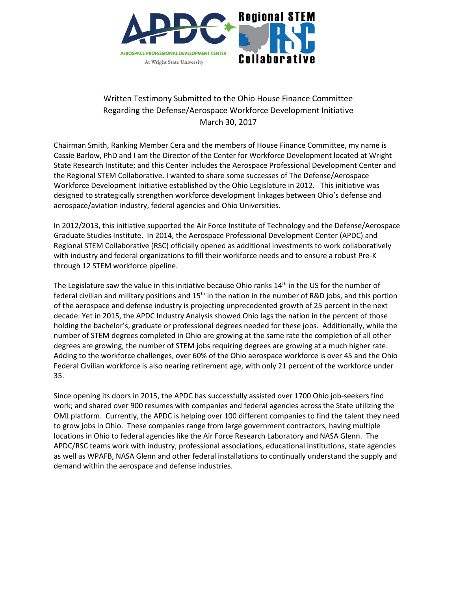

## Written Testimony Submitted to the Ohio House Finance Committee Regarding the Defense/Aerospace Workforce Development Initiative March 30, 2017

Chairman Smith, Ranking Member Cera and the members of House Finance Committee, my name is Cassie Barlow, PhD and I am the Director of the Center for Workforce Development located at Wright State Research Institute; and this Center includes the Aerospace Professional Development Center and the Regional STEM Collaborative. I wanted to share some successes of The Defense/Aerospace Workforce Development Initiative established by the Ohio Legislature in 2012. This initiative was designed to strategically strengthen workforce development linkages between Ohio's defense and aerospace/aviation industry, federal agencies and Ohio Universities.

In 2012/2013, this initiative supported the Air Force Institute of Technology and the Defense/Aerospace Graduate Studies Institute. In 2014, the Aerospace Professional Development Center (APDC) and Regional STEM Collaborative (RSC) officially opened as additional investments to work collaboratively with industry and federal organizations to fill their workforce needs and to ensure a robust Pre-K through 12 STEM workforce pipeline.

The Legislature saw the value in this initiative because Ohio ranks  $14<sup>th</sup>$  in the US for the number of federal civilian and military positions and  $15<sup>th</sup>$  in the nation in the number of R&D jobs, and this portion of the aerospace and defense industry is projecting unprecedented growth of 25 percent in the next decade. Yet in 2015, the APDC Industry Analysis showed Ohio lags the nation in the percent of those holding the bachelor's, graduate or professional degrees needed for these jobs. Additionally, while the number of STEM degrees completed in Ohio are growing at the same rate the completion of all other degrees are growing, the number of STEM jobs requiring degrees are growing at a much higher rate. Adding to the workforce challenges, over 60% of the Ohio aerospace workforce is over 45 and the Ohio Federal Civilian workforce is also nearing retirement age, with only 21 percent of the workforce under 35.

Since opening its doors in 2015, the APDC has successfully assisted over 1700 Ohio job-seekers find work; and shared over 900 resumes with companies and federal agencies across the State utilizing the OMJ platform. Currently, the APDC is helping over 100 different companies to find the talent they need to grow jobs in Ohio. These companies range from large government contractors, having multiple locations in Ohio to federal agencies like the Air Force Research Laboratory and NASA Glenn. The APDC/RSC teams work with industry, professional associations, educational institutions, state agencies as well as WPAFB, NASA Glenn and other federal installations to continually understand the supply and demand within the aerospace and defense industries.